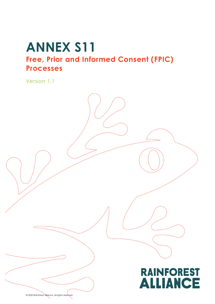# **ANNEX S11 Free, Prior and Informed Consent (FPIC) Processes**

*Version 1.1*



© 2020 Rainforest Alliance. All rights reserved.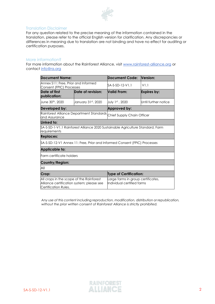

#### Translation Disclaimer

For any question related to the precise meaning of the information contained in the translation, please refer to the official English version for clarification. Any discrepancies or differences in meaning due to translation are not binding and have no effect for auditing or certification purposes.

#### More information?

For more information about the Rainforest Alliance, visit [www.rainforest-alliance.org](http://www.rainforest-alliance.org/) or contact [info@ra.org](mailto:info@ra.org)

| <b>Document Name:</b>                                                                                         |                    | <b>Document Code:</b>                                                           | Version:             |
|---------------------------------------------------------------------------------------------------------------|--------------------|---------------------------------------------------------------------------------|----------------------|
| Annex S11: Free, Prior and Informed<br>Consent (FPIC) Processes                                               |                    | SA-S-SD-12-V1.1                                                                 | V1.1                 |
| Date of first<br>publication:                                                                                 | Date of revision:  | <b>Valid From:</b>                                                              | <b>Expires by:</b>   |
| June 30th, 2020                                                                                               | January 31st, 2020 | July 1st, 2020                                                                  | Until further notice |
| Developed by:                                                                                                 |                    | Approved by:                                                                    |                      |
| Rainforest Alliance Department Standards<br>and Assurance                                                     |                    | Chief Supply Chain Officer                                                      |                      |
| Linked to:                                                                                                    |                    |                                                                                 |                      |
| requirements                                                                                                  |                    | \$A-S-SD-1-V1.1 Rainforest Alliance 2020 Sustainable Agriculture Standard, Farm |                      |
| <b>Replaces:</b>                                                                                              |                    |                                                                                 |                      |
|                                                                                                               |                    | \$A-S-SD-12-V1 Annex 11: Free, Prior and Informed Consent (FPIC) Processes      |                      |
| <b>Applicable to:</b>                                                                                         |                    |                                                                                 |                      |
| Farm certificate holders                                                                                      |                    |                                                                                 |                      |
| Country/Region:                                                                                               |                    |                                                                                 |                      |
| All                                                                                                           |                    |                                                                                 |                      |
| Crop:                                                                                                         |                    | <b>Type of Certification:</b>                                                   |                      |
| All crops in the scope of the Rainforest<br>Alliance certification system; please see<br>Certification Rules. |                    | Large farms in group certificates,<br>Individual certified farms                |                      |

*Any use of this content including reproduction, modification, distribution or republication, without the prior written consent of Rainforest Alliance is strictly prohibited.*

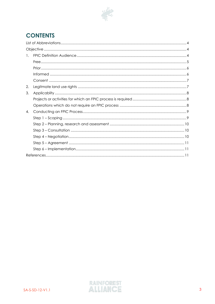

# **CONTENTS**

| 1. |  |
|----|--|
|    |  |
|    |  |
|    |  |
|    |  |
| 2. |  |
| 3. |  |
|    |  |
|    |  |
| 4. |  |
|    |  |
|    |  |
|    |  |
|    |  |
|    |  |
|    |  |
|    |  |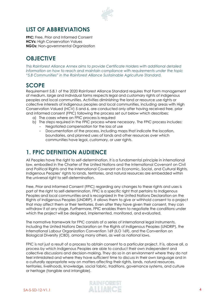

### <span id="page-3-0"></span>**LIST OF ABBREVIATIONS**

**FPIC:** Free, Prior and Informed Consent **HCVs:** High Conservation Values **NGOs:** Non-governmental Organization

# <span id="page-3-1"></span>**OBJECTIVE**

*This Rainforest Alliance Annex aims to provide Certificate Holders with additional detailed information on how to reach and maintain compliance with requirements under the topic "5.8 Communities" in the Rainforest Alliance Sustainable Agriculture Standard.*

### **SCOPE**

Requirement 5.8.1 of the 2020 Rainforest Alliance Standard requires that Farm management of medium, large and individual farms respects legal and customary rights of indigenous peoples and local communities. Activities diminishing the land or resource use rights or collective interests of indigenous peoples and local communities, including areas with High Conservation Valued (HCV) 5 and 6, are conducted only after having received free, prior and informed consent (FPIC) following the process set out below which describes:

- a) The cases where an FPIC process is required
- b) The steps required in the FPIC process where necessary. The FPIC process includes:
	- Negotiated compensation for the loss of use
	- Documentation of the process, including maps that indicate the location, boundaries, and planned uses of lands and other resources over which communities have legal, customary, or user rights.

### <span id="page-3-2"></span>**1. FPIC DEFINITION AUDIENCE**

All Peoples have the right to self-determination. It is a fundamental principle in international law, embodied in the Charter of the United Nations and the International Covenant on Civil and Political Rights and the International Covenant on Economic, Social, and Cultural Rights. Indigenous Peoples' rights to lands, territories, and natural resources are embedded within the universal right to self-determination.

Free, Prior and Informed Consent (FPIC) regarding any changes to these rights and uses is part of the right to self-determination. FPIC is a specific right that pertains to Indigenous Peoples and local communities and is recognized in the United Nations Declaration on the Rights of Indigenous Peoples (UNDRIP). It allows them to give or withhold consent to a project that may affect them or their territories. Even after they have given their consent, they can withdraw it at any stage. Furthermore, FPIC enables them to negotiate the conditions under which the project will be designed, implemented, monitored, and evaluated.

The normative framework for FPIC consists of a series of international legal instruments, including the United Nations Declaration on the Rights of Indigenous Peoples (UNDRIP), the International Labour Organization Convention 169 (ILO 169), and the Convention on Biological Diversity (CBD), among many others, as well as national laws.

FPIC is not just a result of a process to obtain consent to a particular project. It is, above all, a process by which Indigenous Peoples are able to conduct their own independent and collective discussions and decision-making. They do so in an environment where they do not feel intimidated and where they have sufficient time to discuss in their own language and in a culturally appropriate way on matters affecting their rights, lands, natural resources, territories, livelihoods, knowledge, social fabric, traditions, governance systems, and culture or heritage (tangible and intangible).

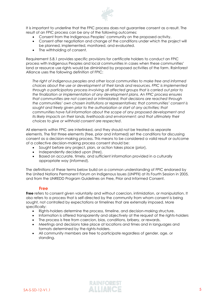

It is important to underline that the FPIC process does not guarantee consent as a result. The result of an FPIC process can be any of the following outcomes:

- Consent from the Indigenous Peoples' community on the proposed activity.
- Consent after negotiation and change of the conditions under which the project will be planned, implemented, monitored, and evaluated.
- The withholding of consent.

Requirement 5.8.1 provides specific provisions for certificate holders to conduct an FPIC process with Indigenous Peoples and local communities in cases when these communities' land or resource use rights would be diminished by proposed activities of the farm. Rainforest Alliance uses the following definition of FPIC:

*The right of indigenous peoples and other local communities to make free and informed choices about the use or development of their lands and resources. FPIC is implemented through a participatory process involving all affected groups that is carried out prior to the finalization or implementation of any development plans. An FPIC process ensures that communities are not coerced or intimidated; that decisions are reached through the communities' own chosen institutions or representatives; that communities' consent is*  sought and freely given prior to the authorization or start of any activities; that *communities have full information about the scope of any proposed development and its likely impacts on their lands, livelihoods and environment; and that ultimately their choices to give or withhold consent are respected*.

All elements within FPIC are interlinked, and they should not be treated as separate elements. The first three elements (free, prior and informed) set the conditions for discussing consent as a decision-making process. This means to be considered a valid result or outcome of a collective decision-making process consent should be:

- Sought before any project, plan, or action takes place (*prior*),
- Independently decided upon (*free*),
- Based on accurate, timely, and sufficient information provided in a culturally appropriate way (*informed*).

The definitions of these terms below build on a common understanding of FPIC endorsed by the United Nations Permanent Forum on Indigenous Issues (UNPFII) at its Fourth Session in 2005, and from the UNREDD Program Guidelines on Free, Prior and Informed Consent.

#### **Free**

<span id="page-4-0"></span>**Free** refers to consent given voluntarily and without coercion, intimidation, or manipulation. It also refers to a process that is self-directed by the community from whom consent is being sought, not controlled by expectations or timelines that are externally imposed. More specifically:

- Rights-holders determine the process, timeline, and decision-making structure.
- Information is offered transparently and objectively at the request of the rights-holders
- The process is free from coercion, bias, conditions, bribery, or rewards.
- Meetings and decisions take place at locations and times and in languages and formats determined by the rights-holders.
- All community members are free to participate regardless of gender, age, or standing.

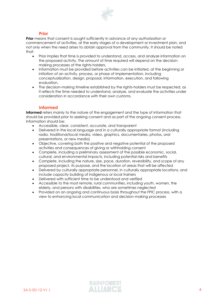

#### **Prior**

<span id="page-5-0"></span>**Prior** means that consent is sought sufficiently in advance of any authorization or commencement of activities, at the early stages of a development or investment plan, and not only when the need arises to obtain approval from the community. It should be noted that:

- Prior implies that time is provided to understand, access, and analyze information on the proposed activity. The amount of time required will depend on the decisionmaking processes of the rights-holders.
- Information must be provided before activities can be initiated, at the beginning or initiation of an activity, process, or phase of implementation, including conceptualization, design, proposal, information, execution, and following evaluation.
- The decision-making timeline established by the rights-holders must be respected, as it reflects the time needed to understand, analyze, and evaluate the activities under consideration in accordance with their own customs.

### **Informed**

<span id="page-5-1"></span>**Informed** refers mainly to the nature of the engagement and the type of information that should be provided prior to seeking consent and as part of the ongoing consent process. Information should be:

- Accessible, clear, consistent, accurate, and transparent
- Delivered in the local language and in a culturally appropriate format (including radio, traditional/local media, video, graphics, documentaries, photos, oral presentations, or new media)
- Objective, covering both the positive and negative potential of the proposed activities and consequences of giving or withholding consent
- Complete, including a preliminary assessment of the possible economic, social, cultural, and environmental impacts, including potential risks and benefits
- Complete, including the nature, size, pace, duration, reversibility, and scope of any proposed project, its purpose, and the location of areas that will be affected
- Delivered by culturally appropriate personnel, in culturally appropriate locations, and include capacity building of indigenous or local trainers
- Delivered with sufficient time to be understood and verified
- Accessible to the most remote, rural communities, including youth, women, the elderly, and persons with disabilities, who are sometimes neglected
- Provided on an ongoing and continuous basis throughout the FPIC process, with a view to enhancing local communication and decision-making processes

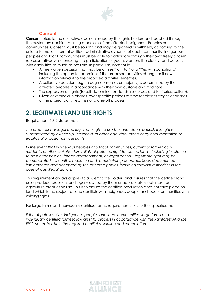

### **Consent**

<span id="page-6-0"></span>**Consent** refers to the collective decision made by the rights-holders and reached through the customary decision-making processes of the affected Indigenous Peoples or communities. Consent must be sought, and may be granted or withheld, according to the unique formal or informal political-administrative dynamic of each community. Indigenous peoples and local communities must be able to participate through their own freely chosen representatives while ensuring the participation of youth, women, the elderly, and persons with disabilities as much as possible. In particular, consent is:

- A freely given decision that may be a "Yes," a "No," or a "Yes with conditions," including the option to reconsider if the proposed activities change or if new information relevant to the proposed activities emerges.
- A collective decision (e.g. through consensus or majority) is determined by the affected peoples in accordance with their own customs and traditions.
- The expression of rights (to self-determination, lands, resources and territories, culture).
- Given or withheld in phases, over specific periods of time for distinct stages or phases of the project activities. It is not a one-off process.

### <span id="page-6-1"></span>**2. LEGITIMATE LAND USE RIGHTS**

Requirement 5.8.2 states that.

*The producer has legal and legitimate right to use the land. Upon request, this right is substantiated by ownership, leasehold, or other legal documents or by documentation of traditional or customary use rights.* 

*In the event that indigenous peoples and local communities, current or former local residents, or other stakeholders validly dispute the right to use the land – including in relation to past dispossession, forced abandonment, or illegal action – legitimate right may be demonstrated if a conflict resolution and remediation process has been documented, implemented and accepted by the affected parties, including relevant authorities in the case of past illegal action.*

This requirement always applies to all Certificate Holders and assures that the certified land users produce crops on land legally owned by them or appropriately obtained for agriculture production use. This is to ensure the certified production does not take place on land which is the subject of land conflicts with indigenous people and local communities with existing rights.

For large farms and individually certified farms, requirement 5.8.2 further specifies that:

*If the dispute involves indigenous peoples and local communities, large farms and individually certified farms follow an FPIC process in accordance with the Rainforest Alliance FPIC Annex to attain the required conflict resolution and remediation.*

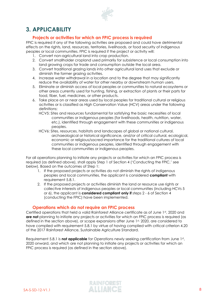

### <span id="page-7-0"></span>**3. APPLICABILITY**

### **Projects or activities for which an FPIC process is required**

<span id="page-7-1"></span>FPIC is required if any of the following activities are proposed and could have detrimental effects on the rights, land, resources, territories, livelihoods, or food security of indigenous peoples or local communities. FPIC is required if the project or activity will:

- 1. Convert non-agricultural land into crop production.
- 2. Convert smallholder cropland used primarily for subsistence or local consumption into land growing crops for trade and consumption outside the local area.
- 3. Convert traditional grazing lands into other agricultural land uses that exclude or diminish the former grazing activities.
- 4. Increase water withdrawal in a location and to the degree that may significantly reduce the availability of water for other nearby or downstream human users.
- 5. Eliminate or diminish access of local peoples or communities to natural ecosystems or other areas currently used for hunting, fishing, or extraction of plants or their parts for food, fiber, fuel, medicines, or other products.
- 6. Take place on or near areas used by local peoples for traditional cultural or religious activities or is classified as High Conservation Value (HCV) areas under the following definitions:
	- HCV5: Sites and resources fundamental for satisfying the basic necessities of local communities or indigenous peoples (for livelihoods, health, nutrition, water, etc.), identified through engagement with these communities or indigenous peoples.
	- HCV6: Sites, resources, habitats and landscapes of global or national cultural, archaeological or historical significance, and/or of critical cultural, ecological, economic or religious/sacred importance for the traditional cultures of local communities or indigenous peoples, identified through engagement with these local communities or indigenous peoples.

For all operations planning to initiate any projects or activities for which an FPIC process is required (as defined above), shall apply Step 1 of Section 4 ('Conducting the FPIC,' see below). Based on the outcomes of Step 1:

- 1. If the proposed projects or activities do not diminish the rights of indigenous peoples and local communities, the applicant is considered **compliant** with requirement 5.8.1.
- 2. If the proposed projects or activities diminish the land or resource use rights or collective interests of indigenous peoples or local communities (including HCVs 5 or 6), the applicant is **considered compliant only if** steps 2 - 6 of Section 4 (conducting the FPIC) have been implemented.

### **Operations which do not require an FPIC process**

<span id="page-7-2"></span>Certified operations that held a valid Rainforest Alliance certificate as of June 1st, 2020 and **are not** planning to initiate any projects or activities for which an FPIC process is required (as defined in the section above), or scope expansions after June 1st, 2020, are considered to have complied with requirement 5.8.1 by virtue of having complied with critical criterion 4.20 of the 2017 Rainforest Alliance, Sustainable Agriculture Standard.

Requirement 5.8.1 is **not applicable** for Operations newly seeking certification from June 1st, 2020 onward, and which are not planning to initiate any projects or activities for which an FPIC process is required (as defined in the section above).

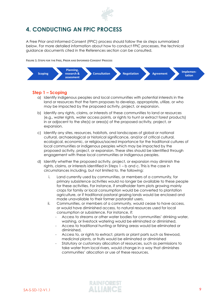

### <span id="page-8-0"></span>**4. CONDUCTING AN FPIC PROCESS**

A Free Prior and Informed Consent (FPIC) process should follow the six steps summarized below. For more detailed information about how to conduct FPIC processes, the technical guidance documents cited in the References section can be consulted.

**FIGURE 1: STEPS FOR THE FREE, PRIOR AND INFORMED CONSENT PROCESS**



### <span id="page-8-1"></span>**Step 1 – Scoping**

- a) Identify indigenous peoples and local communities with potential interests in the land or resources that the farm proposes to develop, appropriate, utilize, or who may be impacted by the proposed activity, project, or expansion.
- b) Identify any rights, claims, or interests of these communities to land or resources (e.g., water rights, water access points, or rights to hunt or extract forest products) in or adjacent to the site(s) or area(s) of the proposed activity, project, or expansion.
- c) Identify any sites, resources, habitats, and landscapes of global or national cultural, archaeological or historical significance, and/or of critical cultural, ecological, economic, or religious/sacred importance for the traditional cultures of local communities or indigenous peoples which may be impacted by the proposed activity, project, or expansion. These sites should be identified through engagement with these local communities or indigenous peoples.
- d) Identify whether the proposed activity, project, or expansion may diminish the rights, claims, or interests identified in Steps 1 – b and c. This is the case in circumstances including, but not limited to, the following:
	- i. Land currently used by communities, or members of a community, for primary subsistence activities would no longer be available to these people for these activities. For instance, if smallholder farm plots growing mainly crops for family or local consumption would be converted to plantation agriculture, or if traditional pastoral grazing lands would be enclosed and made unavailable to their former pastoralist users.
	- ii. Communities, or members of a community, would cease to have access, or would have diminished access, to natural resources used for local consumption or subsistence. For instance, if:
		- Access to streams or other water bodies for communities' drinking water, washing, or livestock watering would be eliminated or diminished,
		- Access to traditional hunting or fishing areas would be eliminated or diminished,
		- Access to, or rights to extract, plants or plant parts such as firewood, medicinal plants, or fruits would be eliminated or diminished
		- Statutory or customary allocation of resources, such as permissions to take water from local rivers, would change in a way that diminishes communities' allocation or use of these resources.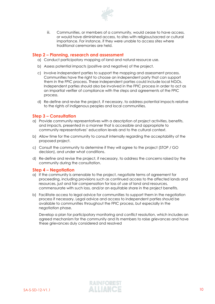

iii. Communities, or members of a community, would cease to have access, or would have diminished access, to sites with religious/sacred or cultural importance. For instance, if they were unable to access sites where traditional ceremonies are held.

#### <span id="page-9-0"></span>**Step 2 – Planning, research and assessment**

- a) Conduct participatory mapping of land and natural resource use.
- b) Assess potential impacts (positive and negative) of the project.
- c) Involve independent parties to support the mapping and assessment process. Communities have the right to choose an independent party that can support them in the FPIC process. These independent parties could include local NGOs. Independent parties should also be involved in the FPIC process in order to act as an impartial verifier of compliance with the steps and agreements of the FPIC process.
- d) Re-define and revise the project, if necessary, to address potential impacts relative to the rights of indigenous peoples and local communities.

### <span id="page-9-1"></span>**Step 3 – Consultation**

- a) Provide community representatives with a description of project activities, benefits, and impacts, presented in a manner that is accessible and appropriate to community representatives' education levels and to the cultural context.
- b) Allow time for the community to consult internally regarding the acceptability of the proposed project.
- c) Consult the community to determine if they will agree to the project (STOP / GO decision), and under what conditions.
- d) Re-define and revise the project, if necessary, to address the concerns raised by the community during the consultation.

### <span id="page-9-2"></span>**Step 4 – Negotiation**

- a) If the community is amenable to the project, negotiate terms of agreement for proceeding, including provisions such as continued access to the affected lands and resources, just and fair compensation for loss of use of land and resources, commensurate with such loss, and/or an equitable share in the project benefits.
- b) Facilitate access to legal advice for communities to support them in the negotiation process if necessary. Legal advice and access to independent parties should be available to communities throughout the FPIC process, but especially in the negotiation phase.

Develop a plan for participatory monitoring and conflict resolution, which includes an agreed mechanism for the community and its members to raise grievances and have these grievances duly considered and resolved